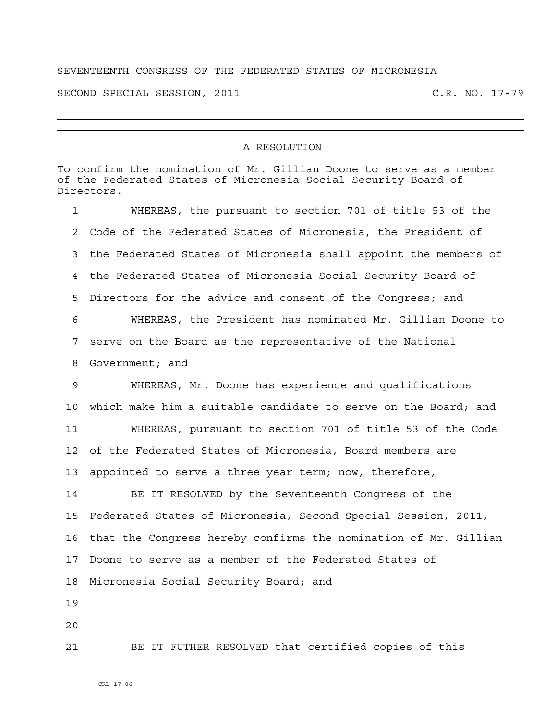## SEVENTEENTH CONGRESS OF THE FEDERATED STATES OF MICRONESIA

SECOND SPECIAL SESSION, 2011 C.R. NO. 17-79

## A RESOLUTION

To confirm the nomination of Mr. Gillian Doone to serve as a member of the Federated States of Micronesia Social Security Board of Directors. 1 WHEREAS, the pursuant to section 701 of title 53 of the 2 Code of the Federated States of Micronesia, the President of 3 the Federated States of Micronesia shall appoint the members of 4 the Federated States of Micronesia Social Security Board of 5 Directors for the advice and consent of the Congress; and 6 WHEREAS, the President has nominated Mr. Gillian Doone to 7 serve on the Board as the representative of the National 8 Government; and 9 WHEREAS, Mr. Doone has experience and qualifications 10 which make him a suitable candidate to serve on the Board; and 11 WHEREAS, pursuant to section 701 of title 53 of the Code 12 of the Federated States of Micronesia, Board members are 13 appointed to serve a three year term; now, therefore, 14 BE IT RESOLVED by the Seventeenth Congress of the 15 Federated States of Micronesia, Second Special Session, 2011, 16 that the Congress hereby confirms the nomination of Mr. Gillian 17 Doone to serve as a member of the Federated States of 18 Micronesia Social Security Board; and 19 20 21 BE IT FUTHER RESOLVED that certified copies of this